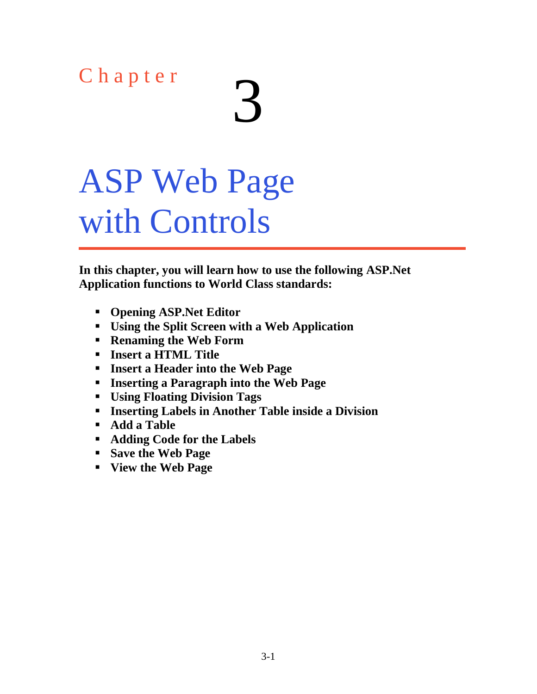## Chapter

# ASP Web Page with Controls

**In this chapter, you will learn how to use the following ASP.Net Application functions to World Class standards:**

- **Opening ASP.Net Editor**
- **Using the Split Screen with a Web Application**
- **Renaming the Web Form**
- **Insert a HTML Title**
- **Insert a Header into the Web Page**
- **Inserting a Paragraph into the Web Page**
- **Using Floating Division Tags**
- **Inserting Labels in Another Table inside a Division**
- **Add a Table**
- **Adding Code for the Labels**
- **Save the Web Page**
- **View the Web Page**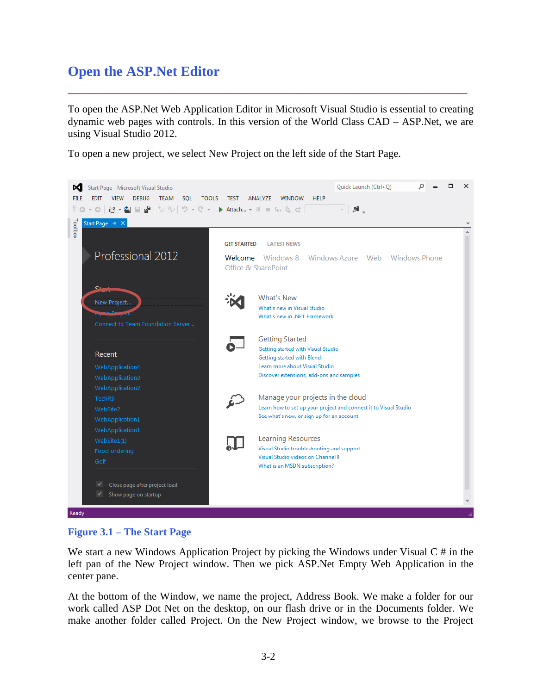## **Open the ASP.Net Editor**

To open the ASP.Net Web Application Editor in Microsoft Visual Studio is essential to creating dynamic web pages with controls. In this version of the World Class CAD – ASP.Net, we are using Visual Studio 2012.

**\_\_\_\_\_\_\_\_\_\_\_\_\_\_\_\_\_\_\_\_\_\_\_\_\_\_\_\_\_\_\_\_\_\_\_\_\_\_\_\_\_\_\_\_\_\_\_\_\_\_\_\_\_\_\_\_\_**

To open a new project, we select New Project on the left side of the Start Page.



#### **Figure 3.1 – The Start Page**

We start a new Windows Application Project by picking the Windows under Visual  $C \#$  in the left pan of the New Project window. Then we pick ASP.Net Empty Web Application in the center pane.

At the bottom of the Window, we name the project, Address Book. We make a folder for our work called ASP Dot Net on the desktop, on our flash drive or in the Documents folder. We make another folder called Project. On the New Project window, we browse to the Project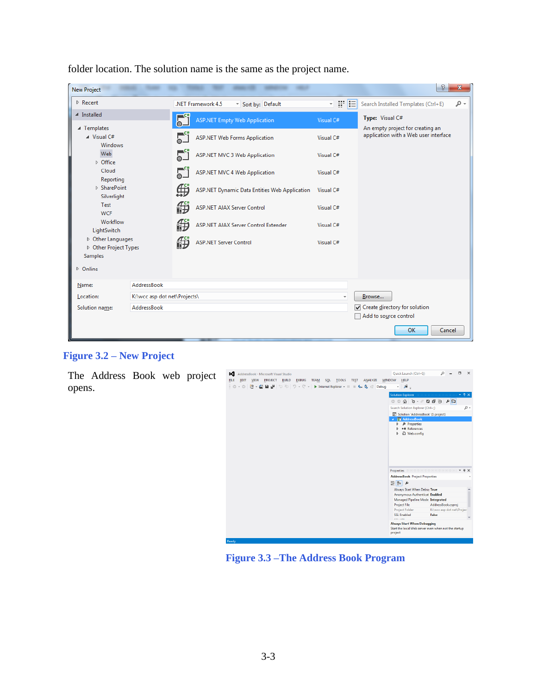| <b>New Project</b>                                    |                    |           |                                               |                                | P<br>$\mathbf{x}$                                                         |
|-------------------------------------------------------|--------------------|-----------|-----------------------------------------------|--------------------------------|---------------------------------------------------------------------------|
| $P$ Recent                                            |                    |           | .NET Framework 4.5<br>Sort by: Default        | 罪臣<br>$\overline{\phantom{a}}$ | Search Installed Templates (Ctrl+E)<br>- ۹                                |
| ▲ Installed                                           |                    | $\bullet$ | <b>ASP.NET Empty Web Application</b>          | Visual C#                      | Type: Visual C#                                                           |
| ▲ Templates<br>$\blacktriangle$ Visual C#<br>Windows  |                    |           | <b>ASP.NET Web Forms Application</b>          | Visual C#                      | An empty project for creating an<br>application with a Web user interface |
| Web<br>D Office                                       |                    |           | <b>ASP.NET MVC 3 Web Application</b>          | Visual C#                      |                                                                           |
| Cloud<br>Reporting                                    |                    |           | <b>ASP.NET MVC 4 Web Application</b>          | Visual C#                      |                                                                           |
| <b>D</b> SharePoint<br>Silverlight                    |                    | ∰         | ASP.NET Dynamic Data Entities Web Application | Visual C#                      |                                                                           |
| Test<br><b>WCF</b>                                    |                    | 俄         | <b>ASP.NET AJAX Server Control</b>            | Visual C#                      |                                                                           |
| Workflow<br>LightSwitch                               |                    | 従         | ASP.NET AJAX Server Control Extender          | Visual C#                      |                                                                           |
| D Other Languages<br>D Other Project Types<br>Samples |                    | 俄         | <b>ASP.NET Server Control</b>                 | Visual C#                      |                                                                           |
| D Online                                              |                    |           |                                               |                                |                                                                           |
| Name:                                                 | AddressBook        |           |                                               |                                |                                                                           |
| K:\wcc asp dot net\Projects\<br>Location:             |                    |           |                                               |                                | Browse                                                                    |
| Solution name:                                        | <b>AddressBook</b> |           |                                               |                                | Create directory for solution<br>Add to source control                    |
|                                                       |                    |           |                                               |                                | <b>OK</b><br>Cancel                                                       |

folder location. The solution name is the same as the project name.

#### **Figure 3.2 – New Project**

The Address Book web project opens.



**Figure 3.3 –The Address Book Program**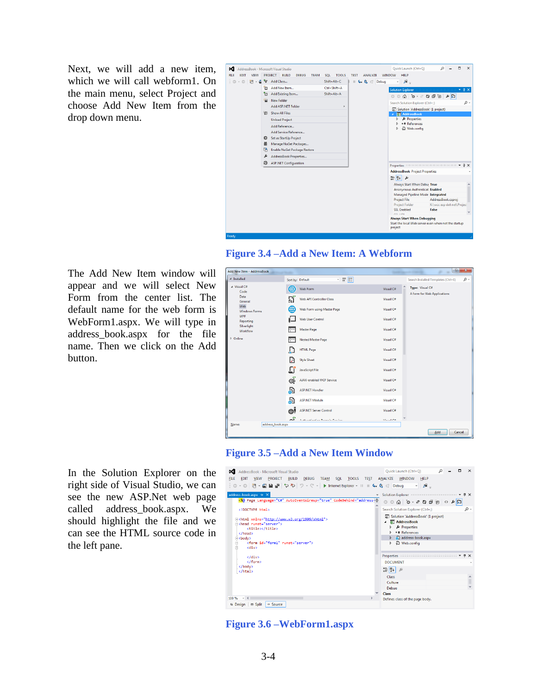Next, we will add a new item, which we will call webform1. On the main menu, select Project and choose Add New Item from the drop down menu.





The Add New Item window will appear and we will select New Form from the center list. The default name for the web form is WebForm1.aspx. We will type in address\_book.aspx for the file name. Then we click on the Add button.

Reporting Silverlight<br>Workflow

In the Solution Explorer on the right side of Visual Studio, we can see the new ASP.Net web page called address\_book.aspx. We should highlight the file and we can see the HTML source code in the left pane.





| AddressBook - Microsoft Visual Studio<br>×<br><b>EDIT</b><br>VIEW<br>PROJECT BUILD<br><b>DEBUG</b><br>TEA <u>M</u> S <u>Q</u> L <u>T</u> OOLS<br><b>FILE</b><br>《○・○ 俗・留 曽 皆 や や   ウ・ペ -   ▶ Internet Explorer - Ⅱ Ⅲ 6 - 0, ♂ Debug | Ouick Launch (Ctrl+O)<br>TEST ANALYZE<br>WINDOW HELP<br>- 8.                                                                            |  | $\times$ |
|-------------------------------------------------------------------------------------------------------------------------------------------------------------------------------------------------------------------------------------|-----------------------------------------------------------------------------------------------------------------------------------------|--|----------|
| address-book.aspx $\# \times$                                                                                                                                                                                                       | Solution Explorer communications are considered as $\mathbf{F} = \mathbf{R} \times \mathbf{R}$                                          |  |          |
| <%@ Page Language="C#" AutoEventWireup="true" CodeBehind="address-                                                                                                                                                                  |                                                                                                                                         |  |          |
| html                                                                                                                                                                                                                                | Search Solution Explorer (Ctrl+;)                                                                                                       |  | - م      |
| E <html xmlns="http://www.w3.org/1999/xhtml"><br/>Fikhead runat="server"&gt;<br/><title></title><br/><br/><b>Exbody&gt;</b><br/><form_id="form1"_runat="server"><br/>Ė<br/><div></div></form_id="form1"_runat="server"></html>      | a Solution 'AddressBook' (1 project)<br><b>AddressBook</b><br>Properties<br><b>I-II</b> References<br>address-book.aspx<br>□ Web.config |  |          |
| $\langle$ /div>                                                                                                                                                                                                                     | Properties accommodation of $\mathbf{F} \times \mathbf{A}$                                                                              |  |          |
| $\langle$ /form>                                                                                                                                                                                                                    | <b>DOCUMENT</b>                                                                                                                         |  |          |
| <br>                                                                                                                                                                                                                                | <b>開展↓</b><br>Class                                                                                                                     |  |          |
|                                                                                                                                                                                                                                     | Culture                                                                                                                                 |  |          |
|                                                                                                                                                                                                                                     | Debua                                                                                                                                   |  |          |
|                                                                                                                                                                                                                                     | Class                                                                                                                                   |  |          |
| $100 \%$ $\div$ 4<br><b>B</b> Split<br>o Source<br><b>B</b> Design                                                                                                                                                                  | Defines class of the page body.                                                                                                         |  |          |

**Figure 3.6 –WebForm1.aspx**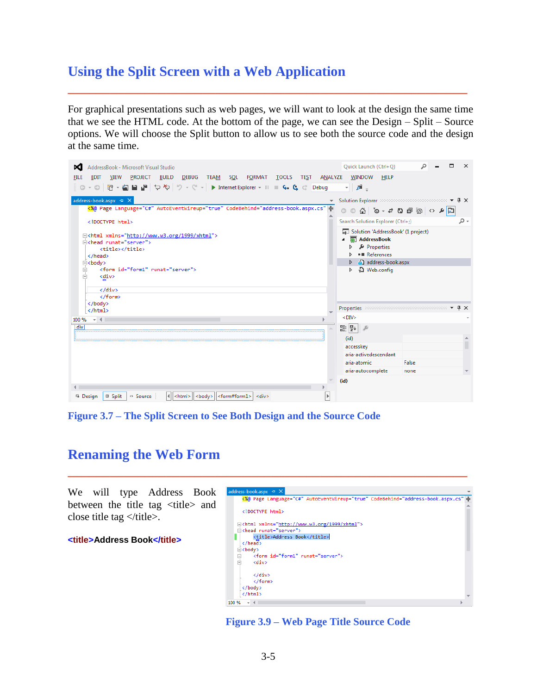## **Using the Split Screen with a Web Application**

For graphical presentations such as web pages, we will want to look at the design the same time that we see the HTML code. At the bottom of the page, we can see the Design – Split – Source options. We will choose the Split button to allow us to see both the source code and the design at the same time.

**\_\_\_\_\_\_\_\_\_\_\_\_\_\_\_\_\_\_\_\_\_\_\_\_\_\_\_\_\_\_\_\_\_\_\_\_\_\_\_\_\_\_\_\_\_\_\_\_\_\_\_\_\_\_\_\_\_**

| AddressBook - Microsoft Visual Studio                                                                                                                   | Quick Launch (Ctrl+Q)<br>$\times$                                             |
|---------------------------------------------------------------------------------------------------------------------------------------------------------|-------------------------------------------------------------------------------|
| <b>BUILD</b><br><b>TOOLS</b><br><b>EDIT</b><br><b>VIEW</b><br>PROJECT<br><b>DEBUG</b><br><b>TEAM</b><br>SQL<br>FORMAT<br><b>TEST</b><br>ANALYZE<br>FILE | WINDOW<br><b>HELP</b>                                                         |
| - ⊙│沿 - 名 ᆸ ᆸ <mark>→</mark> 々 や │ ウ - ぐ - │ ▶ Internet Explorer - Ⅱ <b>□ 4. G</b> ♂ Debug                                                              | - 5<br>$\equiv$                                                               |
|                                                                                                                                                         |                                                                               |
| address-book.aspx + X                                                                                                                                   | Solution Explorer according to the contract of $\mathbf{F} \times \mathbf{R}$ |
| <%@ Page Language="C#" AutoEventWireup="true" CodeBehind="address-book.aspx.cs" -                                                                       | $\Box \bullet \Diamond \bullet \Box \Box \Box \bullet \bullet \bullet \Box$   |
| html                                                                                                                                                    | Search Solution Explorer (Ctrl+;)<br>- م                                      |
| E <html xmlns="http://www.w3.org/1999/xhtml"></html>                                                                                                    | a Solution 'AddressBook' (1 project)                                          |
| Fikhead runat="server">                                                                                                                                 | <b>AddressBook</b>                                                            |
| <title></title>                                                                                                                                         | Properties                                                                    |
|                                                                                                                                                         | <b>■ References</b>                                                           |
| <b>⊟<body></body></b>                                                                                                                                   | address-book.aspx                                                             |
| <form id="form1" runat="server"><br/><div><br/>F</div></form>                                                                                           | Q Web.config                                                                  |
|                                                                                                                                                         |                                                                               |
| $\langle$ /div>                                                                                                                                         |                                                                               |
|                                                                                                                                                         |                                                                               |
|                                                                                                                                                         |                                                                               |
|                                                                                                                                                         | $\sqrt{4}$<br>Properties accompanyation accompany and a                       |
| $ +$ $+$ $-$<br>100 %                                                                                                                                   | $<$ DIV $>$                                                                   |
| div                                                                                                                                                     | 體 2↓                                                                          |
|                                                                                                                                                         | (id)                                                                          |
|                                                                                                                                                         | accesskey                                                                     |
|                                                                                                                                                         | aria-activedescendant                                                         |
|                                                                                                                                                         | aria-atomic<br>False                                                          |
|                                                                                                                                                         | aria-autocomplete<br>none                                                     |
|                                                                                                                                                         |                                                                               |
|                                                                                                                                                         | (id)                                                                          |
|                                                                                                                                                         |                                                                               |
| $ \langle body \rangle   \langle form#form1 \rangle $ < div<br>□ Split<br>↔ Source<br><html><br/><sup>1</sup> Design</html>                             |                                                                               |

**Figure 3.7 – The Split Screen to See Both Design and the Source Code**

## **Renaming the Web Form**

We will type Address Book between the title tag <title> and close title tag  $\langle$  /title >.

**<title>Address Book</title>**

|   | <%@ Page Language="C#" AutoEventWireup="true" CodeBehind="address-book.aspx.cs"  ≑ |
|---|------------------------------------------------------------------------------------|
|   | html                                                                               |
|   | E <html xmlns="http://www.w3.org/1999/xhtml"></html>                               |
|   | Fikhead runat="server">                                                            |
|   | <title>Address Book</title>                                                        |
|   | $\langle$ /head>                                                                   |
|   | ⊟≺body>                                                                            |
| Ė | <form id="form1" runat="server"></form>                                            |
| Ŕ | <div></div>                                                                        |
|   | $\langle$ /div $\rangle$                                                           |
|   | $\langle$ /form>                                                                   |
|   |                                                                                    |
|   |                                                                                    |

**Figure 3.9 – Web Page Title Source Code**

**\_\_\_\_\_\_\_\_\_\_\_\_\_\_\_\_\_\_\_\_\_\_\_\_\_\_\_\_\_\_\_\_\_\_\_\_\_\_\_\_\_\_\_\_\_\_\_\_\_\_\_\_\_\_\_\_\_**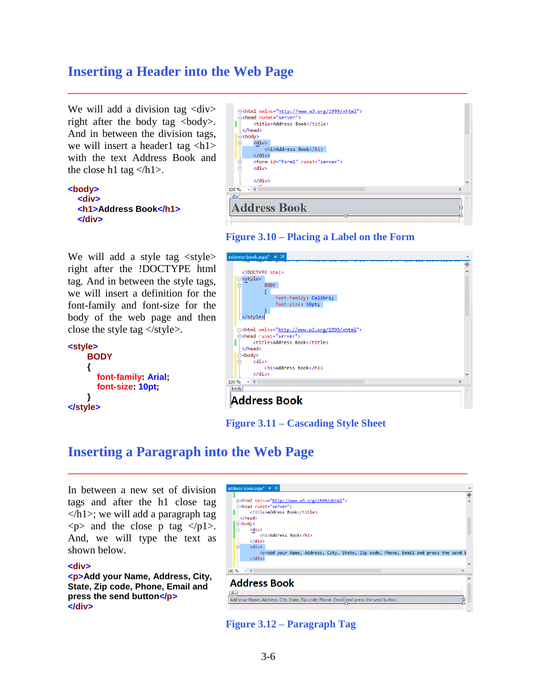## **Inserting a Header into the Web Page**

We will add a division tag <div> right after the body tag  $\langle$ body $\rangle$ . And in between the division tags, we will insert a header1 tag  $\langle h1 \rangle$ with the text Address Book and the close h1 tag  $\langle h1 \rangle$ .

```
<body>
   <div>
   <h1>Address Book</h1>
   </div>
```
We will add a style tag  $\langle$ style $\rangle$ right after the !DOCTYPE html tag. And in between the style tags, we will insert a definition for the font-family and font-size for the body of the web page and then close the style tag  $\langle$  style  $\rangle$ .

```
<style>
     BODY
     {
        font-family: Arial;
        font-size: 10pt;
 }
</style>
```

|                                   | E <html xmlns="http://www.w3.org/1999/xhtml"></html> |  |
|-----------------------------------|------------------------------------------------------|--|
|                                   | Fikhead runat="server">                              |  |
|                                   | <title>Address Book</title>                          |  |
|                                   |                                                      |  |
| ⊟≺body>                           |                                                      |  |
| e                                 | <div></div>                                          |  |
|                                   | <h1>Address Book</h1>                                |  |
|                                   | $\langle$ /div>                                      |  |
| $\overline{\phantom{0}}$          | <form id="form1" runat="server"></form>              |  |
| 口                                 | <div></div>                                          |  |
|                                   |                                                      |  |
|                                   | $\langle$ /div>                                      |  |
| 100 %<br>$\overline{\phantom{a}}$ |                                                      |  |
| div                               |                                                      |  |
|                                   |                                                      |  |
|                                   | <b>Address Book</b>                                  |  |
|                                   |                                                      |  |
|                                   |                                                      |  |

**Figure 3.10 – Placing a Label on the Form**

**\_\_\_\_\_\_\_\_\_\_\_\_\_\_\_\_\_\_\_\_\_\_\_\_\_\_\_\_\_\_\_\_\_\_\_\_\_\_\_\_\_\_\_\_\_\_\_\_\_\_\_\_\_\_\_\_\_**

| address-book.aspx* + X                                                                 |  |
|----------------------------------------------------------------------------------------|--|
|                                                                                        |  |
| html                                                                                   |  |
|                                                                                        |  |
| $\frac{y}{\frac{1}{x}}$<br><b>BODY</b>                                                 |  |
|                                                                                        |  |
| font-family: Calibri;                                                                  |  |
| font-size: 10pt;                                                                       |  |
|                                                                                        |  |
|                                                                                        |  |
|                                                                                        |  |
| [ <html xmlns="http://www.w3.org/1999/xhtml"><br/>⊟<head runat="server"></head></html> |  |
| <title>Address Book</title>                                                            |  |
|                                                                                        |  |
| □ <body></body>                                                                        |  |
| <div><br/>Ė</div>                                                                      |  |
| <h1>Address Book</h1>                                                                  |  |
| $\langle$ /div>                                                                        |  |
| 100 %                                                                                  |  |
| body                                                                                   |  |
|                                                                                        |  |
| <b>Address Book</b>                                                                    |  |
|                                                                                        |  |

**Figure 3.11 – Cascading Style Sheet**

## **Inserting a Paragraph into the Web Page**

In between a new set of division tags and after the h1 close tag  $\langle h1 \rangle$ ; we will add a paragraph tag  $\langle p \rangle$  and the close p tag  $\langle p_1 \rangle$ . And, we will type the text as shown below.

#### **<div>**

**<p>Add your Name, Address, City, State, Zip code, Phone, Email and press the send button</p> </div>**



**Figure 3.12 – Paragraph Tag**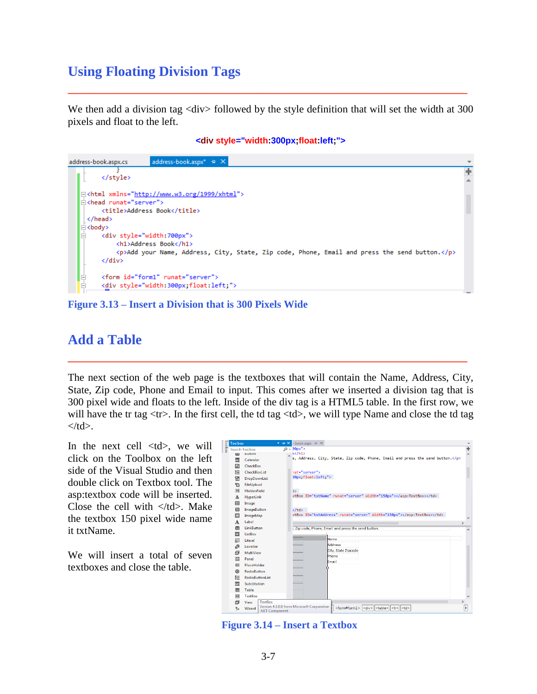## **Using Floating Division Tags**

We then add a division tag <div> followed by the style definition that will set the width at 300 pixels and float to the left.

**\_\_\_\_\_\_\_\_\_\_\_\_\_\_\_\_\_\_\_\_\_\_\_\_\_\_\_\_\_\_\_\_\_\_\_\_\_\_\_\_\_\_\_\_\_\_\_\_\_\_\_\_\_\_\_\_\_**

#### **<div style="width:300px;float:left;">**



**Figure 3.13 – Insert a Division that is 300 Pixels Wide**

## **Add a Table**

The next section of the web page is the textboxes that will contain the Name, Address, City, State, Zip code, Phone and Email to input. This comes after we inserted a division tag that is 300 pixel wide and floats to the left. Inside of the div tag is a HTML5 table. In the first row, we will have the tr tag  $\langle$ tr $\rangle$ . In the first cell, the td tag  $\langle$ td $\rangle$ , we will type Name and close the td tag  $\langle t \, \mathrm{d} \rangle$ .

**\_\_\_\_\_\_\_\_\_\_\_\_\_\_\_\_\_\_\_\_\_\_\_\_\_\_\_\_\_\_\_\_\_\_\_\_\_\_\_\_\_\_\_\_\_\_\_\_\_\_\_\_\_\_\_\_\_**

In the next cell  $\langle \text{td}\rangle$ , we will click on the Toolbox on the left side of the Visual Studio and then double click on Textbox tool. The asp:textbox code will be inserted. Close the cell with  $\langle \text{td}\rangle$ . Make the textbox 150 pixel wide name it txtName.

We will insert a total of seven textboxes and close the table.

|        |               | Toolbox <b>Montanation Company</b> | ▼ - X -book.aspx + X                                                                                                                                  |                   |   |
|--------|---------------|------------------------------------|-------------------------------------------------------------------------------------------------------------------------------------------------------|-------------------|---|
| oolbox |               | <b>Search Toolbox</b>              | $Q - 30px''$                                                                                                                                          | $\ddot{\mp}$      |   |
|        | Laty          | <b>Button</b>                      | k                                                                                                                                                     |                   |   |
|        | 畾             | Calendar                           | e, Address, City, State, Zip code, Phone, Email and press the send button.                                                                            |                   |   |
|        | ☑             | CheckBox                           |                                                                                                                                                       |                   |   |
|        | 胆             | CheckBoxList                       | hat="server">                                                                                                                                         |                   |   |
|        | 몁             | DropDownList                       | 30px, float: left, ">                                                                                                                                 |                   |   |
|        | 竹             | FileUpload                         |                                                                                                                                                       |                   |   |
|        | äbE           | HiddenField                        | $\exists$                                                                                                                                             |                   |   |
|        | A             | <b>HyperLink</b>                   | <br>xtBox ID="txtName" runat="server" Width="150px">                                                                                                  |                   |   |
|        | 囜             | Image                              |                                                                                                                                                       |                   |   |
|        | 囜             | <b>ImageButton</b>                 | $\langle$ /td>                                                                                                                                        |                   |   |
|        | $\frac{1}{2}$ | ImageMap                           | ktBox ID="txtAddress" runat="server" Width="150px">                                                                                                   |                   |   |
|        | A             | Label                              |                                                                                                                                                       |                   |   |
|        | 画             | <b>LinkButton</b>                  | :, Zip code, Phone, Email and press the send button.                                                                                                  |                   |   |
|        | 鷗             | ListBox                            |                                                                                                                                                       |                   |   |
|        | 凬             | Literal                            | Name                                                                                                                                                  |                   |   |
|        | 命             | Localize                           | Address                                                                                                                                               |                   |   |
|        | 氚             | MultiView                          | City, State Zipcode                                                                                                                                   |                   |   |
|        | 膕             | Panel                              | Phone<br>Email                                                                                                                                        |                   |   |
|        | ⊠             | PlaceHolder                        |                                                                                                                                                       |                   |   |
|        | $\odot$       | <b>RadioButton</b>                 |                                                                                                                                                       |                   |   |
|        | 胆             | <b>RadioButtonList</b>             |                                                                                                                                                       |                   |   |
|        | <b>RW</b>     | Substitution                       | $\cdots$                                                                                                                                              |                   |   |
|        | ⊞             | Table                              | <b>ALCOHOL</b>                                                                                                                                        |                   |   |
|        | abi           | <b>TextBox</b>                     |                                                                                                                                                       |                   |   |
|        | 氚             | TextBox<br>View                    |                                                                                                                                                       |                   |   |
|        | 参             | Wizard<br>.NET Component           | Version 4.5.0.0 from Microsoft Corporation<br><div>   <table>  <br/><form#form1><br/><td><br/><math> </math><tr></tr></td></form#form1></table></div> | <br>$ $ <tr></tr> | Þ |
|        |               |                                    |                                                                                                                                                       |                   |   |

**Figure 3.14 – Insert a Textbox**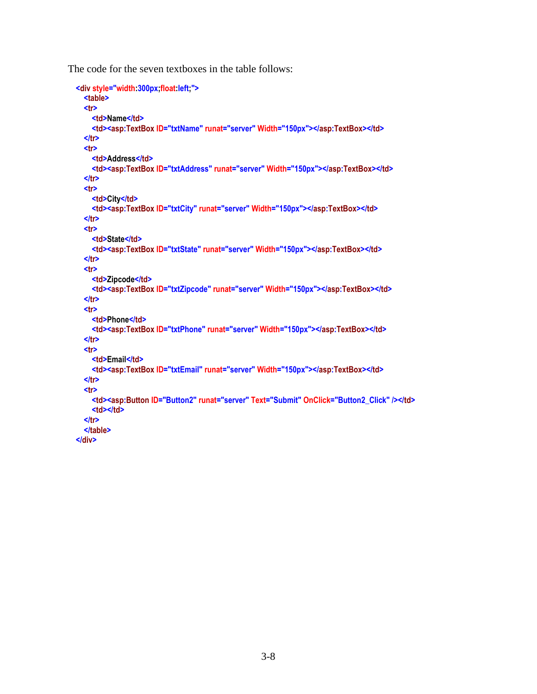The code for the seven textboxes in the table follows:

```
 <div style="width:300px;float:left;">
   <table>
   <tr>
     <td>Name</td>
     <td><asp:TextBox ID="txtName" runat="server" Width="150px"></asp:TextBox></td>
   </tr>
   <tr>
     <td>Address</td>
     <td><asp:TextBox ID="txtAddress" runat="server" Width="150px"></asp:TextBox></td>
   </tr>
   <tr>
     <td>City</td>
     <td><asp:TextBox ID="txtCity" runat="server" Width="150px"></asp:TextBox></td>
   </tr>
   <tr>
     <td>State</td>
     <td><asp:TextBox ID="txtState" runat="server" Width="150px"></asp:TextBox></td>
   </tr>
   <tr>
     <td>Zipcode</td>
     <td><asp:TextBox ID="txtZipcode" runat="server" Width="150px"></asp:TextBox></td>
   </tr>
   <tr>
    <td>Phone</td>
     <td><asp:TextBox ID="txtPhone" runat="server" Width="150px"></asp:TextBox></td>
   </tr>
   <tr>
     <td>Email</td>
     <td><asp:TextBox ID="txtEmail" runat="server" Width="150px"></asp:TextBox></td>
   </tr>
   <tr> 
     <td><asp:Button ID="Button2" runat="server" Text="Submit" OnClick="Button2_Click" /></td>
     <td></td>
   </tr> 
   </table>
 </div>
```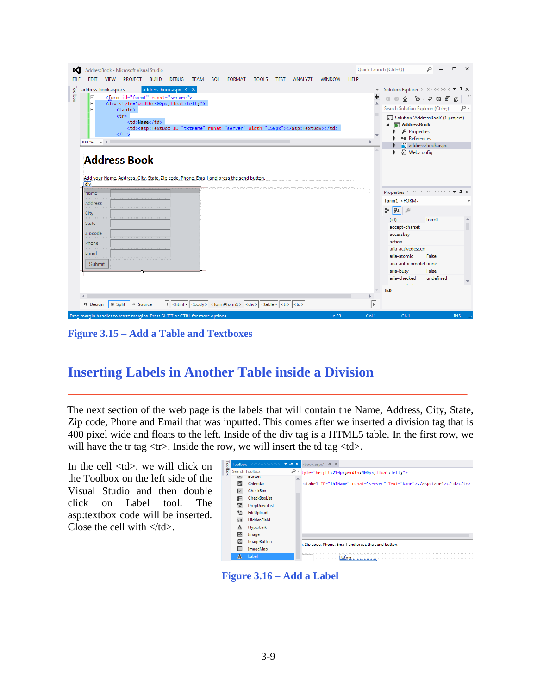| AddressBook - Microsoft Visual Studio<br>x                                                                                                                                                                                                                                                                                                                                                          |                                                                       | Quick Launch (Ctrl+Q)                                                                | п                  | $\times$     |  |                                                                                       |      |                 |  |            |
|-----------------------------------------------------------------------------------------------------------------------------------------------------------------------------------------------------------------------------------------------------------------------------------------------------------------------------------------------------------------------------------------------------|-----------------------------------------------------------------------|--------------------------------------------------------------------------------------|--------------------|--------------|--|---------------------------------------------------------------------------------------|------|-----------------|--|------------|
| <b>PROJECT</b><br><b>BUILD</b><br><b>DEBUG</b><br><b>SOL</b><br>ANALYZE<br><b>FILE</b><br><b>VIFW</b><br>TEAM<br><b>FORMAT</b><br><b>TOOLS</b><br><b>WINDOW</b><br>EDIT<br><b>TEST</b>                                                                                                                                                                                                              | <b>HELP</b>                                                           |                                                                                      |                    |              |  |                                                                                       |      |                 |  |            |
| address-book.aspx + X<br>address-book.aspx.cs                                                                                                                                                                                                                                                                                                                                                       | $\overline{\phantom{a}}$                                              | Solution Explorer Successors section $\blacktriangledown \mathbf{\mathbf{4}} \times$ |                    |              |  |                                                                                       |      |                 |  |            |
| Toolbox<br><form id="form1" runat="server"></form>                                                                                                                                                                                                                                                                                                                                                  | $\ddot{\pm}$                                                          |                                                                                      |                    |              |  |                                                                                       |      |                 |  |            |
| <div style="width:300px;float:left;"><br/><table></table></div>                                                                                                                                                                                                                                                                                                                                     |                                                                       | Search Solution Explorer (Ctrl+;)                                                    |                    | ۰ هر         |  |                                                                                       |      |                 |  |            |
| <tr></tr>                                                                                                                                                                                                                                                                                                                                                                                           |                                                                       | 6 Solution 'AddressBook' (1 project)                                                 |                    |              |  |                                                                                       |      |                 |  |            |
|                                                                                                                                                                                                                                                                                                                                                                                                     |                                                                       |                                                                                      |                    |              |  |                                                                                       |      |                 |  |            |
| <td>Name</td>                                                                                                                                                                                                                                                                                                                                                                                       | Name                                                                  |                                                                                      | AddressBook        |              |  |                                                                                       |      |                 |  |            |
| <td><asp:textbox id="txtName" runat="server" width="150px"></asp:textbox></td><br>$\langle$ /tr>                                                                                                                                                                                                                                                                                                    | <asp:textbox id="txtName" runat="server" width="150px"></asp:textbox> |                                                                                      | Properties         |              |  |                                                                                       |      |                 |  |            |
| 100 %<br>$-4$                                                                                                                                                                                                                                                                                                                                                                                       |                                                                       | <b>I-</b> References                                                                 | address-book.aspx  |              |  |                                                                                       |      |                 |  |            |
|                                                                                                                                                                                                                                                                                                                                                                                                     |                                                                       | Q Web.config                                                                         |                    |              |  |                                                                                       |      |                 |  |            |
| <b>Address Book</b>                                                                                                                                                                                                                                                                                                                                                                                 |                                                                       |                                                                                      |                    |              |  |                                                                                       |      |                 |  |            |
|                                                                                                                                                                                                                                                                                                                                                                                                     |                                                                       |                                                                                      |                    |              |  |                                                                                       |      |                 |  |            |
| Add your Name, Address, City, State, Zip code, Phone, Email and press the send button.                                                                                                                                                                                                                                                                                                              |                                                                       |                                                                                      |                    |              |  |                                                                                       |      |                 |  |            |
| div)                                                                                                                                                                                                                                                                                                                                                                                                |                                                                       |                                                                                      |                    |              |  |                                                                                       |      |                 |  |            |
| Name                                                                                                                                                                                                                                                                                                                                                                                                |                                                                       | Properties accommodations v                                                          |                    | $\sqrt{4}$ X |  |                                                                                       |      |                 |  |            |
| Address                                                                                                                                                                                                                                                                                                                                                                                             |                                                                       | form1 <form></form>                                                                  |                    |              |  |                                                                                       |      |                 |  |            |
| City                                                                                                                                                                                                                                                                                                                                                                                                |                                                                       | 쁣 찧↓<br>Я                                                                            |                    |              |  |                                                                                       |      |                 |  |            |
| i : : : : : : : :<br>State                                                                                                                                                                                                                                                                                                                                                                          |                                                                       | (id)                                                                                 | form1              |              |  |                                                                                       |      |                 |  |            |
| Zipcode                                                                                                                                                                                                                                                                                                                                                                                             |                                                                       | accept-charset<br>accesskey                                                          |                    |              |  |                                                                                       |      |                 |  |            |
| ::::::::<br>Phone                                                                                                                                                                                                                                                                                                                                                                                   |                                                                       | action                                                                               |                    |              |  |                                                                                       |      |                 |  |            |
|                                                                                                                                                                                                                                                                                                                                                                                                     |                                                                       | aria-activedescen                                                                    |                    |              |  |                                                                                       |      |                 |  |            |
| Email                                                                                                                                                                                                                                                                                                                                                                                               |                                                                       | aria-atomic                                                                          | False              |              |  |                                                                                       |      |                 |  |            |
| Submit                                                                                                                                                                                                                                                                                                                                                                                              |                                                                       | aria-autocomplel none                                                                |                    |              |  |                                                                                       |      |                 |  |            |
|                                                                                                                                                                                                                                                                                                                                                                                                     |                                                                       | aria-busy<br>aria-checked                                                            | False<br>undefined |              |  |                                                                                       |      |                 |  |            |
|                                                                                                                                                                                                                                                                                                                                                                                                     |                                                                       |                                                                                      |                    |              |  |                                                                                       |      |                 |  |            |
|                                                                                                                                                                                                                                                                                                                                                                                                     |                                                                       | (id)                                                                                 |                    |              |  |                                                                                       |      |                 |  |            |
| $  $ <html><math>  </math> <br/>body&gt;<br/>□ Split<br/><form#form1>  <div>  <table>  <tr>  <td><br>↔ Source<br/><sup>1</sup> Design</br></td><td>Þ</td><td></td><td></td><td></td></tr><tr><td>Drag margin handles to resize margins. Press SHIFT or CTRL for more options.<br/>Ln 23</td><td>Col1</td><td>Ch<sub>1</sub></td><td></td><td><b>INS</b></td></tr></table></div></form#form1></html> | <br>                                                                  | Þ                                                                                    |                    |              |  | Drag margin handles to resize margins. Press SHIFT or CTRL for more options.<br>Ln 23 | Col1 | Ch <sub>1</sub> |  | <b>INS</b> |
| <br>                                                                                                                                                                                                                                                                                                                                                                                                | Þ                                                                     |                                                                                      |                    |              |  |                                                                                       |      |                 |  |            |
| Drag margin handles to resize margins. Press SHIFT or CTRL for more options.<br>Ln 23                                                                                                                                                                                                                                                                                                               | Col1                                                                  | Ch <sub>1</sub>                                                                      |                    | <b>INS</b>   |  |                                                                                       |      |                 |  |            |

**Figure 3.15 – Add a Table and Textboxes**

## **Inserting Labels in Another Table inside a Division**

The next section of the web page is the labels that will contain the Name, Address, City, State, Zip code, Phone and Email that was inputted. This comes after we inserted a division tag that is 400 pixel wide and floats to the left. Inside of the div tag is a HTML5 table. In the first row, we will have the tr tag  $\langle$ tr $\rangle$ . Inside the row, we will insert the td tag  $\langle$ td $\rangle$ .

**\_\_\_\_\_\_\_\_\_\_\_\_\_\_\_\_\_\_\_\_\_\_\_\_\_\_\_\_\_\_\_\_\_\_\_\_\_\_\_\_\_\_\_\_\_\_\_\_\_\_\_\_\_\_\_\_\_**

In the cell <td>, we will click on the Toolbox on the left side of the Visual Studio and then double click on Label tool. The asp:textbox code will be inserted. Close the cell with  $\langle \text{td}\rangle$ .

| Toolbox | <b>Toolbox</b>        | <b>Service Construction Construction</b> | $\blacktriangleright$ $\blacktriangleleft$ X $\blacktriangleright$ book.aspx* $\dashv$ X |
|---------|-----------------------|------------------------------------------|------------------------------------------------------------------------------------------|
|         | <b>Search Toolbox</b> |                                          | P * tyle="height:210px;width:400px;float:left;">                                         |
|         | <b>Iapi</b>           | <b>Button</b>                            |                                                                                          |
|         | m                     | Calendar                                 | o:Label ID="lblName" runat="server" Text="Name">                                         |
|         | V                     | CheckBox                                 |                                                                                          |
|         | 詎                     | CheckBoxList                             |                                                                                          |
|         | 臂                     | DropDownList                             |                                                                                          |
|         | ኅን                    | FileUpload                               |                                                                                          |
|         | 30]                   | HiddenField                              |                                                                                          |
|         | Δ                     | HyperLink                                |                                                                                          |
|         | 囨                     | Image                                    |                                                                                          |
|         | ⊡                     | ImageButton                              | :, Zip code, Phone, Email and press the send button.                                     |
|         | 讍                     | ImageMap                                 |                                                                                          |
|         | A                     | Label                                    | <b>STATISTICS IN AN</b><br>td me                                                         |

**Figure 3.16 – Add a Label**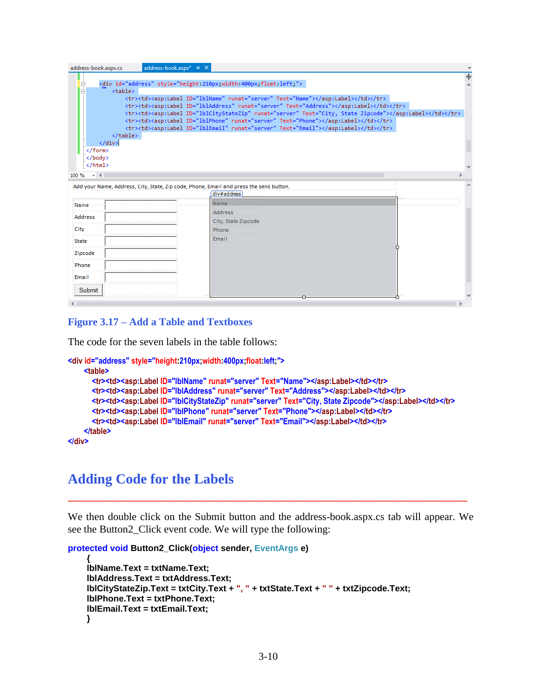| address-book.aspx.cs                                                                   | address-book.aspx* + X                                                                                                                                                                                                                                                                                                                                                                                                                                       |                                                                 |                                                                       |                                                                                        |                                                                   |   |
|----------------------------------------------------------------------------------------|--------------------------------------------------------------------------------------------------------------------------------------------------------------------------------------------------------------------------------------------------------------------------------------------------------------------------------------------------------------------------------------------------------------------------------------------------------------|-----------------------------------------------------------------|-----------------------------------------------------------------------|----------------------------------------------------------------------------------------|-------------------------------------------------------------------|---|
| <table></table>                                                                        | <div id="address" style="height:210px;width:400px;float:left;"><br/><tr><td><asp:label id="lblName" runat="server" text="Name"></asp:label></td></tr><br/><tr><td><asp:label id="lblAddress" runat="server" text="Address"></asp:label></td></tr><br/><tr><td><asp:label id="lblCityStateZip" runat="server" text="City, State Zipcode"></asp:label></td></tr><br/><tr><td><asp:label id="lblPhone" runat="server" text="Phone"></asp:label></td></tr></div> | <asp:label id="lblName" runat="server" text="Name"></asp:label> | <asp:label id="lblAddress" runat="server" text="Address"></asp:label> | <asp:label id="lblCityStateZip" runat="server" text="City, State Zipcode"></asp:label> | <asp:label id="lblPhone" runat="server" text="Phone"></asp:label> | ÷ |
| <asp:label id="lblName" runat="server" text="Name"></asp:label>                        |                                                                                                                                                                                                                                                                                                                                                                                                                                                              |                                                                 |                                                                       |                                                                                        |                                                                   |   |
| <asp:label id="lblAddress" runat="server" text="Address"></asp:label>                  |                                                                                                                                                                                                                                                                                                                                                                                                                                                              |                                                                 |                                                                       |                                                                                        |                                                                   |   |
| <asp:label id="lblCityStateZip" runat="server" text="City, State Zipcode"></asp:label> |                                                                                                                                                                                                                                                                                                                                                                                                                                                              |                                                                 |                                                                       |                                                                                        |                                                                   |   |
| <asp:label id="lblPhone" runat="server" text="Phone"></asp:label>                      |                                                                                                                                                                                                                                                                                                                                                                                                                                                              |                                                                 |                                                                       |                                                                                        |                                                                   |   |
|                                                                                        |                                                                                                                                                                                                                                                                                                                                                                                                                                                              |                                                                 |                                                                       |                                                                                        |                                                                   |   |

  
 $\langle$ /div>  
  
  
 $\langle$ /html>  
 $100 \%$   $\div$   $\parallel$  |  |  | | --- | --- | |  | Add your Name, Address, City, State, Zip code, Phone, Email and press the send button. |  | |  | div#address |  | | Name | Name. |  | | Address | Address |  | | :::::::::::::City | City, State Zipcode |  | | i:::::::::::::: | Phone::::::::::::::::Email |  | | **State** |  |  | | Zipcode |  |  | | Phone |  |  | | Email |  |  | |  |  |  | | Submit |  |  | |  |  |  | |#### **Figure 3.17 – Add a Table and Textboxes**

The code for the seven labels in the table follows:

```
<div id="address" style="height:210px;width:400px;float:left;">
     <table>
       <tr><td><asp:Label ID="lblName" runat="server" Text="Name"></asp:Label></td></tr>
       <tr><td><asp:Label ID="lblAddress" runat="server" Text="Address"></asp:Label></td></tr>
       <tr><td><asp:Label ID="lblCityStateZip" runat="server" Text="City, State Zipcode"></asp:Label></td></tr>
       <tr><td><asp:Label ID="lblPhone" runat="server" Text="Phone"></asp:Label></td></tr>
       <tr><td><asp:Label ID="lblEmail" runat="server" Text="Email"></asp:Label></td></tr>
     </table>
</div>
```
## **Adding Code for the Labels**

We then double click on the Submit button and the address-book.aspx.cs tab will appear. We see the Button2\_Click event code. We will type the following:

**\_\_\_\_\_\_\_\_\_\_\_\_\_\_\_\_\_\_\_\_\_\_\_\_\_\_\_\_\_\_\_\_\_\_\_\_\_\_\_\_\_\_\_\_\_\_\_\_\_\_\_\_\_\_\_\_\_**

**protected void Button2\_Click(object sender, EventArgs e)**

```
{
lblName.Text = txtName.Text;
lblAddress.Text = txtAddress.Text;
lblCityStateZip.Text = txtCity.Text + ", " + txtState.Text + " " + txtZipcode.Text;
lblPhone.Text = txtPhone.Text;
lblEmail.Text = txtEmail.Text;
}
```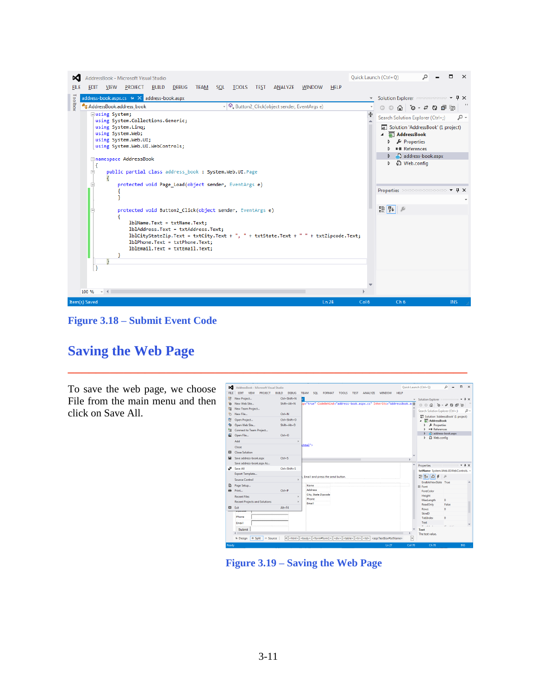

**\_\_\_\_\_\_\_\_\_\_\_\_\_\_\_\_\_\_\_\_\_\_\_\_\_\_\_\_\_\_\_\_\_\_\_\_\_\_\_\_\_\_\_\_\_\_\_\_\_\_\_\_\_\_\_\_\_**

**Figure 3.18 – Submit Event Code**

## **Saving the Web Page**

To save the web page, we choose File from the main menu and then click on Save All.

| ∞           | AddressBook - Microsoft Visual Studio        |                              | Quick Launch (Ctrl+O)                                                                                         | о<br>$\times$<br>٩                                  |
|-------------|----------------------------------------------|------------------------------|---------------------------------------------------------------------------------------------------------------|-----------------------------------------------------|
| <b>FILE</b> | <b>PROJECT</b><br><b>EDIT</b><br><b>VIEW</b> | <b>DEBUG</b><br><b>BUILD</b> | <b>HELP</b><br><b>TEAM</b><br>SQL<br><b>FORMAT</b><br><b>TOOLS</b><br><b>TEST</b><br>ANALYZE<br><b>WINDOW</b> |                                                     |
| ₩           | New Project                                  | $CrI + Shift + N$            | $\overline{\mathbf{v}}$                                                                                       |                                                     |
| ٠ò          | New Web Site                                 | $Shift + Alt + N$            | up-"true" CodeBehind-"address-book.aspx.cs" Inherits-"AddressBook.a+                                          | 000000000000                                        |
| <b>TE</b>   | New Team Project                             |                              |                                                                                                               | Search Solution Explorer (Ctrl+;)<br>- م            |
| ñ           | New File                                     | $Ctrl + N$                   |                                                                                                               |                                                     |
| 名           | Open Project                                 | $CrI + Shift + O$            |                                                                                                               | a Solution 'AddressBook' (1 project)<br>AddressBook |
| ¢,          | Open Web Site                                | $Shift + Alt + O$            |                                                                                                               | & Properties                                        |
| ta          | Connect to Team Project                      |                              |                                                                                                               | <b>** References</b>                                |
| ක           | Open File                                    | $CrI + O$                    |                                                                                                               | address-book.aspx                                   |
|             | Add                                          |                              |                                                                                                               | Web.config<br>ь                                     |
|             | Close                                        |                              | khtml">                                                                                                       |                                                     |
| 図           | <b>Close Solution</b>                        |                              |                                                                                                               |                                                     |
|             |                                              |                              |                                                                                                               |                                                     |
|             | Save address-book.aspx                       | $Ctrl + S$                   |                                                                                                               |                                                     |
|             | Save address-book.aspx As                    |                              |                                                                                                               |                                                     |
| d.          | Save All                                     | $CrI + Shift + S$            |                                                                                                               | txtName System.Web.ULWebControls. -                 |
|             | Export Template                              |                              | Email and press the send button.                                                                              | 58 명↓<br>D<br>F<br>$\mathcal{P}$                    |
|             | <b>Source Control</b>                        |                              |                                                                                                               | EnableViewState True                                |
| в           | Page Setup                                   |                              | Name                                                                                                          | <b>FI</b> Font                                      |
| 員           | Print                                        | $CrI + P$                    | Address                                                                                                       | ForeColor                                           |
|             | <b>Recent Files</b>                          |                              | City, State Zipcode                                                                                           | Height                                              |
|             | <b>Recent Projects and Solutions</b>         |                              | Phone<br>.<br>Email                                                                                           | MaxLength<br>$\mathbf{0}$                           |
| E3          | Exit                                         | $Alt + F4$                   |                                                                                                               | ReadOnly<br>False                                   |
|             | ennoue                                       |                              |                                                                                                               | Rows<br>٥<br>SkinID                                 |
|             | mm<br>Phone                                  |                              |                                                                                                               | Tablodex<br>o                                       |
|             | Fmail                                        |                              |                                                                                                               | Text                                                |
|             |                                              |                              |                                                                                                               | $\sim$                                              |
|             |                                              |                              |                                                                                                               |                                                     |
|             | Submit                                       |                              |                                                                                                               | Text<br>The text value.                             |

**Figure 3.19 – Saving the Web Page**